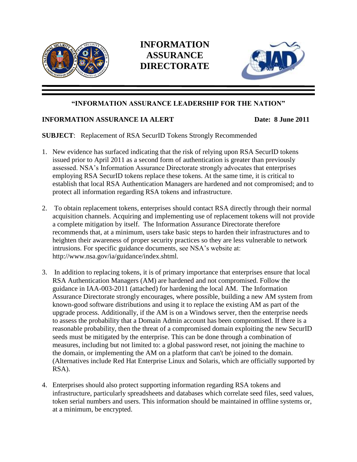

## **INFORMATION ASSURANCE DIRECTORATE**



## **"INFORMATION ASSURANCE LEADERSHIP FOR THE NATION"**

## **INFORMATION ASSURANCE IA ALERT Date: 8 June 2011**

**SUBJECT**: Replacement of RSA SecurID Tokens Strongly Recommended

- 1. New evidence has surfaced indicating that the risk of relying upon RSA SecurID tokens issued prior to April 2011 as a second form of authentication is greater than previously assessed. NSA's Information Assurance Directorate strongly advocates that enterprises employing RSA SecurID tokens replace these tokens. At the same time, it is critical to establish that local RSA Authentication Managers are hardened and not compromised; and to protect all information regarding RSA tokens and infrastructure.
- 2. To obtain replacement tokens, enterprises should contact RSA directly through their normal acquisition channels. Acquiring and implementing use of replacement tokens will not provide a complete mitigation by itself. The Information Assurance Directorate therefore recommends that, at a minimum, users take basic steps to harden their infrastructures and to heighten their awareness of proper security practices so they are less vulnerable to network intrusions. For specific guidance documents, see NSA's website at: http://www.nsa.gov/ia/guidance/index.shtml.
- 3. In addition to replacing tokens, it is of primary importance that enterprises ensure that local RSA Authentication Managers (AM) are hardened and not compromised. Follow the guidance in IAA-003-2011 (attached) for hardening the local AM. The Information Assurance Directorate strongly encourages, where possible, building a new AM system from known-good software distributions and using it to replace the existing AM as part of the upgrade process. Additionally, if the AM is on a Windows server, then the enterprise needs to assess the probability that a Domain Admin account has been compromised. If there is a reasonable probability, then the threat of a compromised domain exploiting the new SecurID seeds must be mitigated by the enterprise. This can be done through a combination of measures, including but not limited to: a global password reset, not joining the machine to the domain, or implementing the AM on a platform that can't be joined to the domain. (Alternatives include Red Hat Enterprise Linux and Solaris, which are officially supported by RSA).
- 4. Enterprises should also protect supporting information regarding RSA tokens and infrastructure, particularly spreadsheets and databases which correlate seed files, seed values, token serial numbers and users. This information should be maintained in offline systems or, at a minimum, be encrypted.